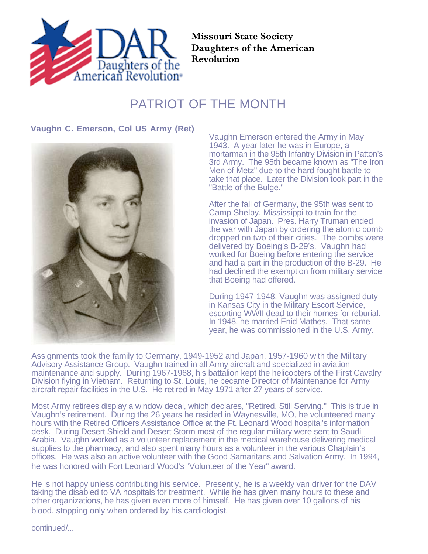

**Missouri State Society Daughters of the American Revolution**

## PATRIOT OF THE MONTH

**Vaughn C. Emerson, Col US Army (Ret)**



Vaughn Emerson entered the Army in May 1943. A year later he was in Europe, a mortarman in the 95th Infantry Division in Patton's 3rd Army. The 95th became known as "The Iron Men of Metz" due to the hard-fought battle to take that place. Later the Division took part in the "Battle of the Bulge."

After the fall of Germany, the 95th was sent to Camp Shelby, Mississippi to train for the invasion of Japan. Pres. Harry Truman ended the war with Japan by ordering the atomic bomb dropped on two of their cities. The bombs were delivered by Boeing's B-29's. Vaughn had worked for Boeing before entering the service and had a part in the production of the B-29. He had declined the exemption from military service that Boeing had offered.

During 1947-1948, Vaughn was assigned duty in Kansas City in the Military Escort Service, escorting WWII dead to their homes for reburial. In 1948, he married Enid Mathes. That same year, he was commissioned in the U.S. Army.

Assignments took the family to Germany, 1949-1952 and Japan, 1957-1960 with the Military Advisory Assistance Group. Vaughn trained in all Army aircraft and specialized in aviation maintenance and supply. During 1967-1968, his battalion kept the helicopters of the First Cavalry Division flying in Vietnam. Returning to St. Louis, he became Director of Maintenance for Army aircraft repair facilities in the U.S. He retired in May 1971 after 27 years of service.

Most Army retirees display a window decal, which declares, "Retired, Still Serving." This is true in Vaughn's retirement. During the 26 years he resided in Waynesville, MO, he volunteered many hours with the Retired Officers Assistance Office at the Ft. Leonard Wood hospital's information desk. During Desert Shield and Desert Storm most of the regular military were sent to Saudi Arabia. Vaughn worked as a volunteer replacement in the medical warehouse delivering medical supplies to the pharmacy, and also spent many hours as a volunteer in the various Chaplain's offices. He was also an active volunteer with the Good Samaritans and Salvation Army. In 1994, he was honored with Fort Leonard Wood's "Volunteer of the Year" award.

He is not happy unless contributing his service. Presently, he is a weekly van driver for the DAV taking the disabled to VA hospitals for treatment. While he has given many hours to these and other organizations, he has given even more of himself. He has given over 10 gallons of his blood, stopping only when ordered by his cardiologist.

continued/...